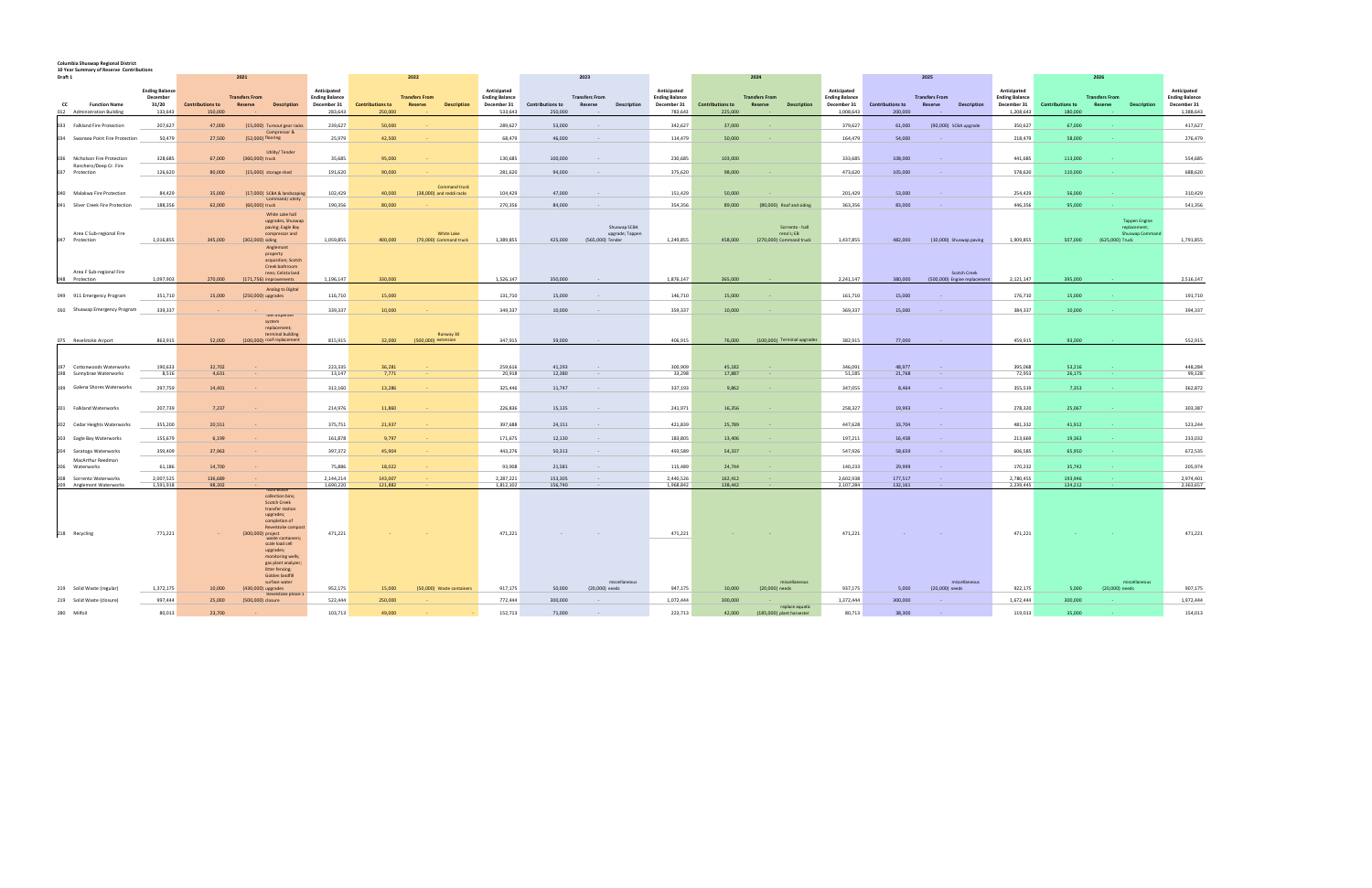## **Columbia Shuswap Regional District 10 Year Summary of Reserve Contributions**

| ⊥∪ icai<br>$mma$ , $\theta$ or $nese$ , $ve$ contribution<br>Draft 1 |                        |                                    | 2021                                                                                                                                                                      |                        |                                    | 2022                                             |                        |                                    | 2023                  |                                 |                        | 2024                               |                                       | 2025                              |                        |                                    | 2026                  |                              |                          |                                    |                       |                                                        |                          |
|----------------------------------------------------------------------|------------------------|------------------------------------|---------------------------------------------------------------------------------------------------------------------------------------------------------------------------|------------------------|------------------------------------|--------------------------------------------------|------------------------|------------------------------------|-----------------------|---------------------------------|------------------------|------------------------------------|---------------------------------------|-----------------------------------|------------------------|------------------------------------|-----------------------|------------------------------|--------------------------|------------------------------------|-----------------------|--------------------------------------------------------|--------------------------|
|                                                                      | <b>Ending Balance</b>  |                                    |                                                                                                                                                                           | Anticipated            |                                    |                                                  | Anticipated            |                                    |                       |                                 | Anticipated            | Anticipated                        |                                       |                                   |                        |                                    |                       | Anticipated                  |                          |                                    |                       | Anticipated                                            |                          |
|                                                                      | December               |                                    | <b>Transfers From</b>                                                                                                                                                     | <b>Ending Balance</b>  |                                    | <b>Transfers From</b>                            | <b>Ending Balance</b>  |                                    | <b>Transfers From</b> |                                 | <b>Ending Balance</b>  |                                    | <b>Transfers From</b>                 | <b>Ending Balance</b>             |                        |                                    | <b>Transfers From</b> |                              | <b>Ending Balance</b>    |                                    | <b>Transfers From</b> |                                                        | <b>Ending Balance</b>    |
| <b>Function Name</b><br>cc<br>012 Administration Building            | 31/20<br>133,643       | <b>Contributions to</b><br>150,000 | Reserve<br><b>Description</b>                                                                                                                                             | December 31<br>283,643 | <b>Contributions to</b><br>250,000 | Reserve<br><b>Description</b>                    | December 31<br>533,643 | <b>Contributions to</b><br>250,000 | Reserve               | Description                     | December 31<br>783,643 | <b>Contributions to</b><br>225,000 | Reserve                               | <b>Description</b><br>December 31 | 1,008,643              | <b>Contributions to</b><br>200,000 | <b>Reserve</b>        | Description                  | December 31<br>1,208,643 | <b>Contributions to</b><br>180,000 | <b>Reserve</b>        | <b>Description</b>                                     | December 31<br>1,388,643 |
| 033 Falkland Fire Protection                                         | 207,627                | 47,000                             | (15,000) Turnout gear racks                                                                                                                                               | 239,627                | 50,000                             |                                                  | 289,627                | 53,000                             | $\sim$                |                                 | 342,627                | 37,000                             |                                       |                                   | 379,627                | 61,000                             |                       | (90,000) SCBA upgrade        | 350,627                  | 67,000                             |                       |                                                        | 417,627                  |
| Swansea Point Fire Protection<br>034                                 | 50,479                 | 27,500                             | Compressor &<br>(52,000) flooring                                                                                                                                         | 25,979                 | 42,500                             |                                                  | 68,479                 | 46,000                             |                       |                                 | 114,479                | 50,000                             |                                       |                                   | 164,479                | 54,000                             |                       |                              | 218,479                  | 58,000                             |                       |                                                        | 276,479                  |
|                                                                      |                        |                                    |                                                                                                                                                                           |                        |                                    |                                                  |                        |                                    |                       |                                 |                        |                                    |                                       |                                   |                        |                                    |                       |                              |                          |                                    |                       |                                                        |                          |
| Nicholson Fire Protection<br>036<br>Ranchero/Deep Cr. Fire           | 328,685                | 67,000                             | Utility/Tender<br>(360,000) truck                                                                                                                                         | 35,685                 | 95,000                             |                                                  | 130,685                | 100,000                            |                       |                                 | 230,685                | 103,000                            |                                       |                                   | 333,685                | 108,000                            |                       |                              | 441,685                  | 113,000                            |                       |                                                        | 554,685                  |
| Protection                                                           | 126,620                | 80,000                             | (15,000) storage shed                                                                                                                                                     | 191,620                | 90,000                             |                                                  | 281,620                | 94,000                             |                       |                                 | 375,620                | 98,000                             |                                       |                                   | 473,620                | 105,000                            |                       |                              | 578,620                  | 110,000                            |                       |                                                        | 688,620                  |
| Malakwa Fire Protection<br>040                                       | 84,429                 | 35,000                             | (17,000) SCBA & landscaping                                                                                                                                               | 102,429                | 40.000                             | <b>Command truck</b><br>(38,000) and reddi racks | 104.429                | 47.000                             | $\sim$                |                                 | 151,429                | 50.000                             | <b>College</b>                        |                                   | 201.429                | 53,000                             |                       |                              | 254,429                  | 56,000                             |                       |                                                        | 310,429                  |
|                                                                      |                        |                                    | Command/utility                                                                                                                                                           |                        |                                    |                                                  |                        |                                    |                       |                                 |                        |                                    |                                       |                                   |                        |                                    |                       |                              |                          |                                    |                       |                                                        |                          |
| 041 Silver Creek Fire Protection                                     | 188,356                | 62,000                             | (60,000) truck<br>White Lake hall                                                                                                                                         | 190,356                | 80,000                             |                                                  | 270,356                | 84,000                             |                       |                                 | 354,356                | 89,000                             | (80,000) Roof and siding              |                                   | 363,356                | 83,000                             |                       |                              | 446,356                  | 95,000                             |                       |                                                        | 541,356                  |
| Area C Sub-regional Fire<br>Protection<br>047                        | 1,016,855              | 345,000                            | upgrades; Shuswap<br>paving; Eagle Bay<br>compressor and<br>(302,000) siding                                                                                              | 1,059,855              | 400,000                            | White Lake<br>(70,000) Command truck             | 1,389,855              | 425,000                            | (565,000) Tender      | Shuswan SCBA<br>upgrade; Tappen | 1,249,855              | 458,000                            | reno's; EB<br>(270,000) Command truck | Sorrento - hall                   | 1,437,855              | 482,000                            |                       | (10,000) Shuswap paving      | 1,909,855                | 507,000                            | (625,000) Truck       | <b>Tappen Engine</b><br>replacement:<br>Shuswap Comman | 1,791,855                |
| Area F Sub-regional Fire                                             |                        |                                    | Anglemont<br>property<br>acquisition: Scotch<br>Creek bathroom<br>reno; Celista land                                                                                      |                        |                                    |                                                  |                        |                                    |                       |                                 |                        |                                    |                                       |                                   |                        |                                    |                       | Scotch Creek                 |                          |                                    |                       |                                                        |                          |
| Protection<br>048                                                    | 1,097,903              | 270,000                            | (171,756) improvements                                                                                                                                                    | 1,196,147              | 330,000                            |                                                  | 1,526,147              | 350,000                            |                       |                                 | 1,876,147              | 365,000                            |                                       |                                   | 2,241,147              | 380,000                            |                       | (500,000) Engine replacement | 2,121,147                | 395,000                            |                       |                                                        | 2,516,147                |
| 049 911 Emergency Program                                            | 351,710                | 15,000                             | Analog to Digital<br>(250,000) upgrades                                                                                                                                   | 116,710                | 15,000                             |                                                  | 131,710                | 15,000                             |                       |                                 | 146,710                | 15,000                             |                                       |                                   | 161,710                | 15,000                             |                       |                              | 176,710                  | 15,000                             |                       |                                                        | 191,710                  |
| 050 Shuswap Emergency Program                                        | 339,337                |                                    |                                                                                                                                                                           | 339,337                | 10,000                             |                                                  | 349,337                | 10,000                             |                       |                                 | 359,337                | 10,000                             |                                       |                                   | 369,337                | 15,000                             |                       |                              | 384,337                  | 10,000                             |                       |                                                        | 394,337                  |
| 075 Revelstoke Airport                                               | 863.915                | 52.000                             | tuel dispenser<br>system<br>replacement;<br>terminal building<br>(100,000) roof replacement                                                                               | 815,915                | 32,000                             | Runway 30<br>$(500.000)$ extension               | 347.915                | 59,000                             |                       |                                 | 406.915                | 76,000                             | (100,000) Terminal upgrades           |                                   | 382,915                | 77,000                             |                       |                              | 459.915                  | 93,000                             |                       |                                                        | 552,915                  |
|                                                                      |                        |                                    |                                                                                                                                                                           |                        |                                    |                                                  |                        |                                    |                       |                                 |                        |                                    |                                       |                                   |                        |                                    |                       |                              |                          |                                    |                       |                                                        |                          |
|                                                                      |                        |                                    |                                                                                                                                                                           |                        |                                    |                                                  |                        |                                    |                       |                                 |                        |                                    |                                       |                                   |                        |                                    |                       |                              |                          |                                    |                       |                                                        |                          |
| Cottonwoods Waterworks<br>197                                        | 190,633                | 32,702                             |                                                                                                                                                                           | 223,335                | 36,281                             |                                                  | 259,616                | 41,293                             | $\sim$                |                                 | 300,909                | 45,182                             | $\sim$                                |                                   | 346,091                | 48,977                             |                       |                              | 395,068                  | 53,216                             |                       |                                                        | 448,284                  |
| Sunnybrae Waterworks<br>198                                          | 8,516                  | 4,631                              |                                                                                                                                                                           | 13,147                 | 7,771                              |                                                  | 20,918                 | 12,380                             | $\sim$                |                                 | 33,298                 | 17,887                             | $\sim$                                |                                   | 51,185                 | 21,768                             |                       |                              | 72,953                   | 26,175                             |                       |                                                        | 99,128                   |
| 199<br>Galena Shores Waterworks                                      | 297,759                | 14,401                             |                                                                                                                                                                           | 312,160                | 13,286                             |                                                  | 325,446                | 11,747                             | $\sim$                |                                 | 337,193                | 9,862                              | $\sim$                                |                                   | 347,055                | 8,464                              |                       |                              | 355,519                  | 7,353                              |                       |                                                        | 362,872                  |
| 201 Falkland Waterworks                                              | 207,739                | 7,237                              |                                                                                                                                                                           | 214,976                | 11,860                             |                                                  | 226,836                | 15,135                             | $\sim$                |                                 | 241,971                | 16,356                             | $\sim$                                |                                   | 258,327                | 19,993                             |                       |                              | 278,320                  | 25,067                             |                       |                                                        | 303,387                  |
| Cedar Heights Waterworks<br>202                                      | 355,200                | 20,551                             |                                                                                                                                                                           | 375,751                | 21,937                             |                                                  | 397,688                | 24,151                             |                       |                                 | 421,839                | 25,789                             | $\sim$                                |                                   | 447,628                | 33,704                             |                       |                              | 481,332                  | 41,912                             |                       |                                                        | 523,244                  |
| 203 Eagle Bay Waterworks                                             | 155,679                | 6,199                              |                                                                                                                                                                           | 161,878                | 9,797                              |                                                  | 171,675                | 12.130                             | $\sim$                |                                 | 183,805                | 13,406                             | $\sim$                                |                                   | 197,211                | 16,458                             |                       |                              | 213,669                  | 19,363                             |                       |                                                        | 233,032                  |
| 204                                                                  |                        |                                    |                                                                                                                                                                           | 397,372                |                                    |                                                  |                        |                                    | $\sim$                |                                 | 493,589                |                                    |                                       |                                   |                        |                                    |                       |                              |                          |                                    |                       |                                                        | 672,535                  |
| Saratoga Waterworks<br>MacArthur Reedman                             | 359,409                | 37,963                             |                                                                                                                                                                           |                        | 45,904                             |                                                  | 443,276                | 50,313                             |                       |                                 |                        | 54,337                             |                                       |                                   | 547,926                | 58,659                             |                       |                              | 606,585                  | 65,950                             |                       |                                                        |                          |
| Waterworks<br>206                                                    | 61.186                 | 14,700                             |                                                                                                                                                                           | 75,886                 | 18,022                             |                                                  | 93,908                 | 21,581                             | $\sim$                |                                 | 115,489                | 24,744                             | $\sim$                                |                                   | 140,233                | 29,999                             |                       |                              | 170,232                  | 35,742                             |                       |                                                        | 205,974                  |
| 208<br>Sorrento Waterworks<br>209 Anglemont Waterworks               | 2,007,525<br>1,591,918 | 136,689<br>98,302                  |                                                                                                                                                                           | 2,144,214<br>1,690,220 | 143,007<br>121,882                 |                                                  | 2,287,221<br>1,812,102 | 153,305<br>156,740                 | $\sim$                |                                 | 2,440,526<br>1,968,842 | 162,412<br>138,442                 | $\sim$                                |                                   | 2,602,938<br>2,107,284 | 177,517<br>132,161                 |                       |                              | 2,780,455<br>2,239,445   | 193,946<br>124,212                 |                       |                                                        | 2,974,401<br>2,363,657   |
|                                                                      |                        |                                    | oog wast<br>collection bins;<br><b>Scotch Creek</b><br>transfer station<br>upgrades;<br>completion of<br>Revelstoke compost                                               |                        |                                    |                                                  |                        |                                    |                       |                                 |                        |                                    |                                       |                                   |                        |                                    |                       |                              |                          |                                    |                       |                                                        |                          |
| 218 Recycling                                                        | 771,221                |                                    | (300,000) project<br>waste containers:<br>scale load cell<br>upgrades;<br>monitoring wells;<br>gas plant analyzer;<br>litter fencing;<br>Golden landfill<br>surface water | 471,221                |                                    |                                                  | 471,221                |                                    | miscellaneous         |                                 | 471,221                |                                    | miscellaneous                         |                                   | 471,221                |                                    |                       | miscellaneous                | 471,221                  |                                    |                       | miscellaneous                                          | 471,221                  |
| 219 Solid Waste (regular)                                            | 1,372,175              | 10,000                             | (430,000) upgrades<br>Revelstoke phase 1                                                                                                                                  | 952,175                | 15,000                             | (50,000) Waste containers                        | 917,175                | 50,000                             | (20,000) needs        |                                 | 947,175                | 10,000                             | (20,000) needs                        |                                   | 937,175                | 5,000                              | (20,000) needs        |                              | 922,175                  | 5,000                              | (20,000) needs        |                                                        | 907,175                  |
| 219 Solid Waste (closure)                                            | 997,444                | 25,000                             | (500,000) closure                                                                                                                                                         | 522,444                | 250,000                            |                                                  | 772,444                | 300,000                            |                       |                                 | 1,072,444              | 300,000                            |                                       | replace aquatic                   | 1,372,444              | 300,000                            |                       |                              | 1,672,444                | 300,000                            |                       |                                                        | 1,972,444                |
| 280<br>Milfoil                                                       | 80.013                 | 23,700                             |                                                                                                                                                                           | 103.713                | 49.000                             |                                                  | 152.713                | 71.000                             |                       |                                 | 223.713                | 42.000                             | (185,000) plant harvester             |                                   | 80.713                 | 38.300                             |                       |                              | 119,013                  | 35,000                             |                       |                                                        | 154.013                  |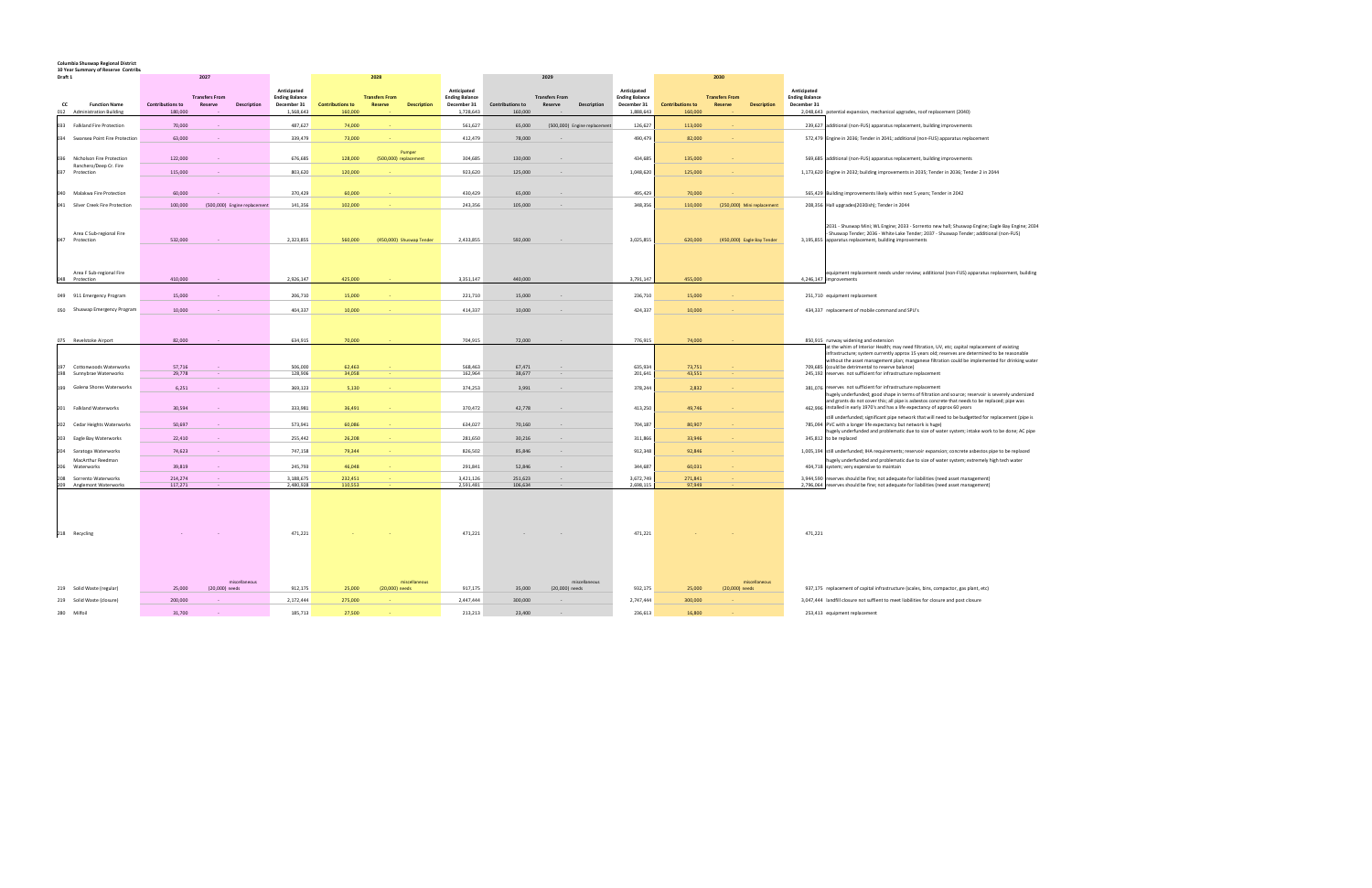## **Columbia Shuswap Regional District 10 Year Summary of Reserve Contribu**

| 10 TCC<br>Draft 1 | ilidi v vi neserve tvilliliv                            |                         | 2027                         |             |                                      |                         | 2028                     |                    |                                      |                         | 2029                                                 |                              |                                      | 2030                    |                       |                            |                                                                                                                                                                                                                                                                                                                                                                                                                           |
|-------------------|---------------------------------------------------------|-------------------------|------------------------------|-------------|--------------------------------------|-------------------------|--------------------------|--------------------|--------------------------------------|-------------------------|------------------------------------------------------|------------------------------|--------------------------------------|-------------------------|-----------------------|----------------------------|---------------------------------------------------------------------------------------------------------------------------------------------------------------------------------------------------------------------------------------------------------------------------------------------------------------------------------------------------------------------------------------------------------------------------|
|                   |                                                         |                         |                              |             |                                      |                         |                          |                    |                                      |                         |                                                      |                              |                                      |                         |                       |                            |                                                                                                                                                                                                                                                                                                                                                                                                                           |
|                   |                                                         |                         | <b>Transfers From</b>        |             | Anticipated<br><b>Ending Balance</b> |                         | <b>Transfers From</b>    |                    | Anticipated<br><b>Ending Balance</b> |                         | <b>Transfers From</b>                                |                              | Anticipated<br><b>Ending Balance</b> |                         | <b>Transfers From</b> |                            | Anticipated<br><b>Ending Balance</b>                                                                                                                                                                                                                                                                                                                                                                                      |
| CC                | <b>Function Name</b>                                    | <b>Contributions to</b> | <b>Reserve</b>               | Description | December 31                          | <b>Contributions to</b> | Reserve                  | <b>Description</b> | December 31                          | <b>Contributions to</b> | Reserve                                              | <b>Description</b>           | December 31                          | <b>Contributions to</b> | Reserve               | <b>Description</b>         | December 31                                                                                                                                                                                                                                                                                                                                                                                                               |
|                   | 012 Administration Building                             | 180,000                 |                              |             | 1,568,643                            | 160,000                 |                          |                    | 1,728,643                            | 160,000                 |                                                      |                              | 1,888,643                            | 160,000                 |                       |                            | 2,048,643 potential expansion, mechanical upgrades, roof replacement (2040)                                                                                                                                                                                                                                                                                                                                               |
|                   | 033 Falkland Fire Protection                            | 70,000                  |                              |             | 487,627                              | 74,000                  |                          |                    | 561,627                              | 65,000                  |                                                      | (500,000) Engine replacement | 126,627                              | 113,000                 |                       |                            | 239,627 additional (non-FUS) apparatus replacement, building improvements                                                                                                                                                                                                                                                                                                                                                 |
|                   | 034 Swansea Point Fire Protection                       | 63,000                  |                              |             | 339,479                              | 73,000                  |                          |                    | 412,479                              | 78,000                  |                                                      |                              | 490,479                              | 82,000                  |                       |                            | 572,479 Engine in 2036; Tender in 2041; additional (non-FUS) apparatus replacement                                                                                                                                                                                                                                                                                                                                        |
|                   |                                                         |                         |                              |             |                                      |                         |                          | Pumper             |                                      |                         |                                                      |                              |                                      |                         |                       |                            |                                                                                                                                                                                                                                                                                                                                                                                                                           |
| 036               | Nicholson Fire Protection<br>Ranchero/Deep Cr. Fire     | 122,000                 |                              |             | 676,685                              | 128,000                 | (500,000) replacement    |                    | 304,685                              | 130,000                 |                                                      |                              | 434,685                              | 135,000                 |                       |                            | 569,685 additional (non-FUS) apparatus replacement, building improvements                                                                                                                                                                                                                                                                                                                                                 |
| 037               | Protection                                              | 115,000                 |                              |             | 803,620                              | 120,000                 |                          |                    | 923,620                              | 125.000                 |                                                      |                              | 1,048,620                            | 125,000                 |                       |                            | 1,173,620 Engine in 2032; building improvements in 2035; Tender in 2036; Tender 2 in 2044                                                                                                                                                                                                                                                                                                                                 |
|                   |                                                         |                         |                              |             |                                      |                         |                          |                    |                                      |                         |                                                      |                              |                                      |                         |                       |                            |                                                                                                                                                                                                                                                                                                                                                                                                                           |
| 040<br>041        | Malakwa Fire Protection<br>Silver Creek Fire Protection | 60,000<br>100,000       | (500,000) Engine replacement |             | 370,429<br>141,356                   | 60,000<br>102,000       |                          |                    | 430.429<br>243,356                   | 65,000<br>105,000       | $\sim$                                               |                              | 495,429<br>348,356                   | 70,000<br>110,000       |                       | (250,000) Mini replacement | 565,429 Building improvements likely within next 5 years; Tender in 2042<br>208,356 Hall upgrades(2030ish); Tender in 2044                                                                                                                                                                                                                                                                                                |
|                   |                                                         |                         |                              |             |                                      |                         |                          |                    |                                      |                         |                                                      |                              |                                      |                         |                       |                            |                                                                                                                                                                                                                                                                                                                                                                                                                           |
| 047               | Area C Sub-regional Fire<br>Protection                  | 532,000                 |                              |             | 2,323,855                            | 560,000                 | (450,000) Shuswap Tender |                    | 2,433,855                            | 592,000                 |                                                      |                              | 3,025,855                            | 620,000                 |                       | (450,000) Eagle Bay Tender | 2031 - Shuswap Mini; WL Engine; 2033 - Sorrento new hall; Shuswap Engine; Eagle Bay Engine; 2034<br>Shuswap Tender; 2036 - White Lake Tender; 2037 - Shuswap Tender; additional (non-FUS)<br>3,195,855 apparatus replacement, building improvements                                                                                                                                                                       |
|                   | Area F Sub-regional Fire                                |                         |                              |             |                                      |                         |                          |                    |                                      |                         |                                                      |                              |                                      |                         |                       |                            | equipment replacement needs under review; additional (non-FUS) apparatus replacement, building                                                                                                                                                                                                                                                                                                                            |
|                   | 048 Protection                                          | 410,000                 |                              |             | 2,926,147                            | 425,000                 |                          |                    | 3,351,147                            | 440,000                 |                                                      |                              | 3,791,147                            | 455,000                 |                       |                            | 4,246,147 improvements                                                                                                                                                                                                                                                                                                                                                                                                    |
|                   |                                                         |                         |                              |             |                                      |                         |                          |                    |                                      |                         |                                                      |                              |                                      |                         |                       |                            |                                                                                                                                                                                                                                                                                                                                                                                                                           |
|                   | 049 911 Emergency Program                               | 15,000                  |                              |             | 206,710                              | 15,000                  |                          |                    | 221,710                              | 15,000                  |                                                      |                              | 236,710                              | 15,000                  |                       |                            | 251,710 equipment replacement                                                                                                                                                                                                                                                                                                                                                                                             |
|                   | 050 Shuswap Emergency Program                           | 10,000                  |                              |             | 404,337                              | 10,000                  |                          |                    | 414,337                              | 10,000                  |                                                      |                              | 424,337                              | 10,000                  |                       |                            | 434,337 replacement of mobile command and SPU's                                                                                                                                                                                                                                                                                                                                                                           |
|                   |                                                         |                         |                              |             |                                      |                         |                          |                    |                                      |                         |                                                      |                              |                                      |                         |                       |                            |                                                                                                                                                                                                                                                                                                                                                                                                                           |
|                   | 075 Revelstoke Airport                                  | 82,000                  |                              |             | 634,915                              | 70,000                  |                          |                    | 704,915                              | 72,000                  |                                                      |                              | 776,915                              | 74,000                  |                       |                            | 850,915 runway widening and extension                                                                                                                                                                                                                                                                                                                                                                                     |
| 198               | 197 Cottonwoods Waterworks<br>Sunnybrae Waterworks      | 57,716<br>29,778        | $\sim$<br>$\epsilon$         |             | 506,000<br>128,906                   | 62,463<br>34,058        |                          |                    | 568,463<br>162,964                   | 67,471<br>38,677        | $\overline{\phantom{a}}$<br>$\overline{\phantom{a}}$ |                              | 635,934<br>201,641                   | 73,751<br>43,551        |                       |                            | at the whim of Interior Health; may need filtration, UV, etc; capital replacement of existing<br>infrastructure; system currently approx 15 years old; reserves are determined to be reasonable<br>without the asset management plan; manganese filtration could be implemented for drinking water<br>709.685 (could be detrimental to reserve balance)<br>245,192 reserves not sufficient for infrastructure replacement |
|                   |                                                         |                         | $\sim$                       |             |                                      |                         |                          |                    |                                      |                         |                                                      |                              |                                      |                         |                       |                            |                                                                                                                                                                                                                                                                                                                                                                                                                           |
|                   | 199 Galena Shores Waterworks<br>201 Falkland Waterworks | 6,251<br>30,594         |                              |             | 369,123<br>333,981                   | 5,130<br>36,491         |                          |                    | 374,253<br>370,472                   | 3,991<br>42,778         | $\sim$<br>$\sim$                                     |                              | 378,244<br>413,250                   | 2,832<br>49,746         |                       |                            | 381,076 reserves not sufficient for infrastructure replacement<br>nugely underfunded; good shape in terms of filtration and source; reservoir is severely undersized<br>and grants do not cover this; all pipe is asbestos concrete that needs to be replaced; pipe was<br>462,996 installed in early 1970's and has a life expectancy of approx 60 years                                                                 |
|                   |                                                         |                         |                              |             |                                      |                         |                          |                    |                                      |                         |                                                      |                              |                                      |                         |                       |                            | still underfunded; significant pipe network that will need to be budgetted for replacement (pipe is                                                                                                                                                                                                                                                                                                                       |
|                   | 202 Cedar Heights Waterworks                            | 50,697                  |                              |             | 573,941                              | 60,086                  |                          |                    | 634,027                              | 70,160                  | $\epsilon$                                           |                              | 704,187                              | 80,907                  |                       |                            | 785,094 PVC with a longer life expectancy but network is huge)<br>nugely underfunded and problematic due to size of water system; intake work to be done; AC pipe                                                                                                                                                                                                                                                         |
|                   | 203 Eagle Bay Waterworks                                | 22,410                  | $\sim$                       |             | 255,442                              | 26,208                  |                          |                    | 281,650                              | 30.216                  | $\sim$                                               |                              | 311,866                              | 33.946                  |                       |                            | 345,812 to be replaced                                                                                                                                                                                                                                                                                                                                                                                                    |
| 204               | Saratoga Waterworks                                     | 74,623                  |                              |             | 747,158                              | 79,344                  |                          |                    | 826,502                              | 85,846                  |                                                      |                              | 912,348                              | 92,846                  |                       |                            | 1,005,194 still underfunded; IHA requirements; reservoir expansion; concrete asbestos pipe to be replaced                                                                                                                                                                                                                                                                                                                 |
|                   | MacArthur Reedman<br>206 Waterworks                     | 39,819                  | $\sim$                       |             | 245,793                              | 46,048                  |                          |                    | 291,841                              | 52.846                  | $\sim$                                               |                              | 344,687                              | 60,031                  |                       |                            | lugely underfunded and problematic due to size of water system; extremely high tech water<br>404,718 system; very expensive to maintain                                                                                                                                                                                                                                                                                   |
| 208               | Sorrento Waterworks                                     | 214,274<br>117,271      | $\sim$                       |             | 3,188,675<br>2,480,928               | 232,451                 |                          |                    | 3,421,126<br>2,591,481               | 251.623<br>106,634      | $\sim$                                               |                              | 3,672,749<br>2,698,115               | 271.841<br>97,949       |                       |                            | 3,944,590 reserves should be fine; not adequate for liabilities (need asset management)                                                                                                                                                                                                                                                                                                                                   |
|                   | 209 Anglemont Waterworks                                |                         |                              |             |                                      | 110,553                 |                          |                    |                                      |                         |                                                      |                              |                                      |                         |                       |                            | 2,796,064 reserves should be fine; not adequate for liabilities (need asset management)                                                                                                                                                                                                                                                                                                                                   |
|                   | 218 Recycling                                           |                         |                              |             | 471,221                              |                         |                          |                    | 471,221                              |                         |                                                      |                              | 471,221                              |                         |                       |                            | 471,221                                                                                                                                                                                                                                                                                                                                                                                                                   |
|                   |                                                         |                         | miscellaneous                |             |                                      |                         |                          | miscellaneous      |                                      |                         |                                                      | miscellaneous                |                                      |                         |                       | miscellaneous              |                                                                                                                                                                                                                                                                                                                                                                                                                           |
|                   | 219 Solid Waste (regular)                               | 25,000                  | (20,000) needs               |             | 912,175                              | 25,000                  | (20,000) needs           |                    | 917,175                              | 35,000                  | (20,000) needs                                       |                              | 932,175                              | 25,000                  | (20,000) needs        |                            | 937,175 replacement of capital infrastructure (scales, bins, compactor, gas plant, etc)                                                                                                                                                                                                                                                                                                                                   |
|                   | 219 Solid Waste (closure)                               | 200,000                 |                              |             | 2,172,444                            | 275,000                 |                          |                    | 2,447,444                            | 300,000                 |                                                      |                              | 2,747,444                            | 300,000                 |                       |                            | 3,047,444 landfill closure not suffient to meet liabilities for closure and post closure                                                                                                                                                                                                                                                                                                                                  |
| 280               | Milfoil                                                 | 31,700                  |                              |             | 185.713                              | 27,500                  |                          |                    | 213.213                              | 23,400                  |                                                      |                              | 236.613                              | 16.800                  |                       |                            | 253.413 equipment replacement                                                                                                                                                                                                                                                                                                                                                                                             |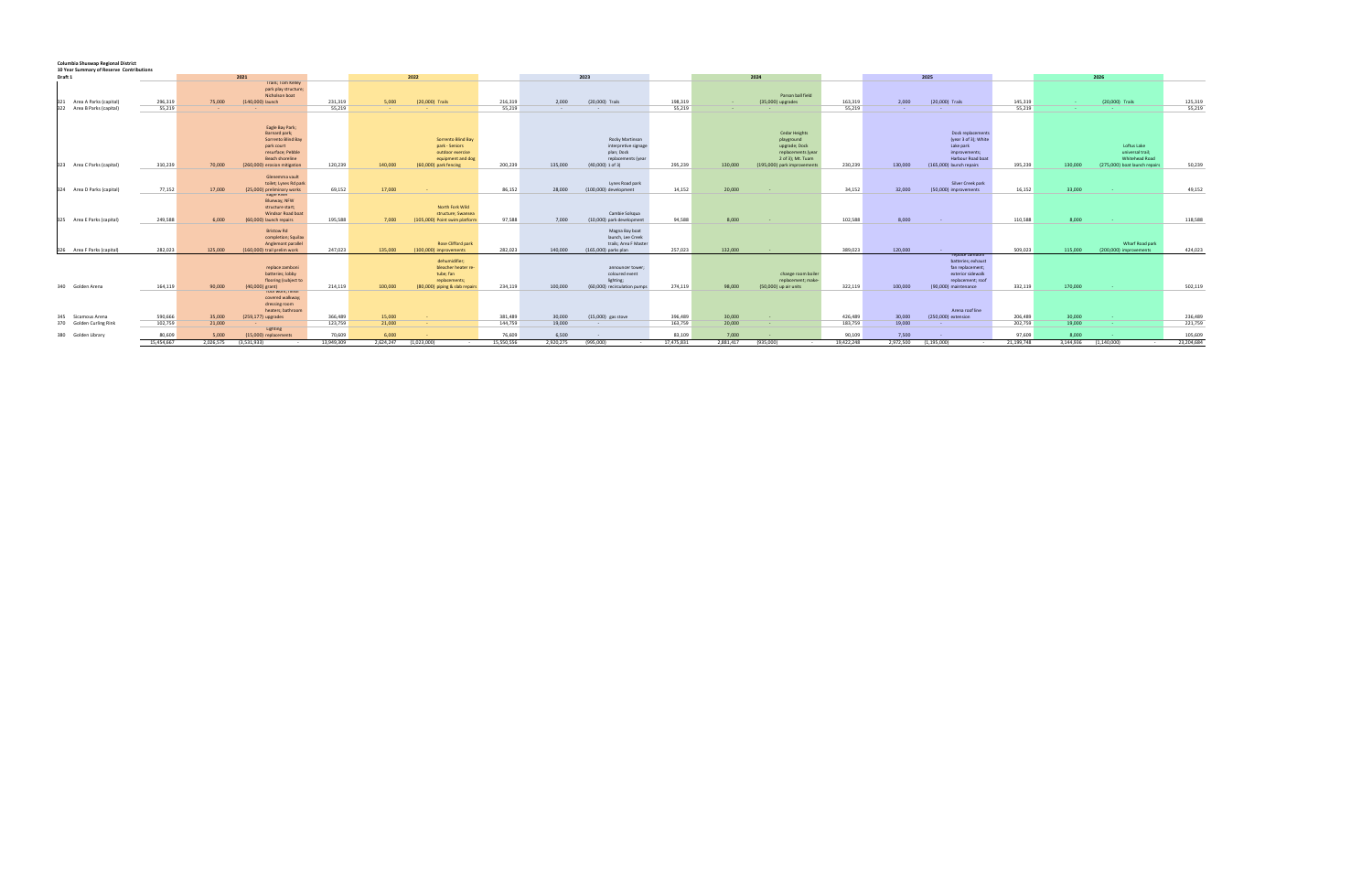## **Columbia Shuswap Regional District 10 Year Summary of Reserve Contributions**

| 10 real Summary of Reserve Continuations      |                      |                    |                                                                                                          |                      |                    |                                                                                                        |                      |                    |                                                                                                   |                      |                    |                                                                                                       |                      |                    |                                                                                                     |                      |                    |                                                                                           |                       |
|-----------------------------------------------|----------------------|--------------------|----------------------------------------------------------------------------------------------------------|----------------------|--------------------|--------------------------------------------------------------------------------------------------------|----------------------|--------------------|---------------------------------------------------------------------------------------------------|----------------------|--------------------|-------------------------------------------------------------------------------------------------------|----------------------|--------------------|-----------------------------------------------------------------------------------------------------|----------------------|--------------------|-------------------------------------------------------------------------------------------|-----------------------|
| Draft 1                                       |                      |                    | 2021                                                                                                     |                      |                    | 2022                                                                                                   |                      |                    | 2023                                                                                              |                      |                    | 2024                                                                                                  |                      |                    | 2025                                                                                                |                      |                    | 2026                                                                                      |                       |
| Area A Parks (capital)<br>321                 | 296,319              | 75,000             | <b>Trails; Tom Kelley</b><br>park play structure;<br>Nicholson boat<br>(140,000) launch                  | 231,319              | 5.000              | (20,000) Trails                                                                                        | 216,319              | 2.000              | (20,000) Trails                                                                                   | 198,319              |                    | Parson ball field<br>(35,000) upgrades                                                                | 163,319              | 2,000              | (20,000) Trails                                                                                     | 145,319              |                    | (20,000) Trails                                                                           | 125,319               |
| 322<br>Area B Parks (capital)                 | 55,219               | $\sim$             |                                                                                                          | 55,219               |                    |                                                                                                        | 55,219               | <b>Service</b>     | $\sim$                                                                                            | 55,219               | <b>Service</b>     |                                                                                                       | 55,219               | <b>Service</b>     | <b>Contract</b>                                                                                     | 55,219               |                    |                                                                                           | 55,219                |
|                                               |                      |                    | Eagle Bay Park;<br>Barnard park;                                                                         |                      |                    |                                                                                                        |                      |                    |                                                                                                   |                      |                    | <b>Cedar Heights</b>                                                                                  |                      |                    | Dock replacements                                                                                   |                      |                    |                                                                                           |                       |
| 323 Area C Parks (capital)                    | 310,239              | 70,000             | Sorrento Blind Bay<br>park court<br>resurface; Pebble<br>Beach shoreline<br>(260,000) erosion mitigation | 120,239              | 140,000            | Sorrento Blind Bay<br>park - Seniors<br>outdoor exercise<br>equipment and dog<br>(60,000) park fencing | 200,239              | 135,000            | Rocky Martinson<br>interpretive signage<br>plan; Dock<br>replacements (year<br>$(40,000)$ 1 of 3) | 295,239              | 130,000            | playground<br>upgrade; Dock<br>replacements (year<br>2 of 3); Mt. Tuam<br>(195,000) park improvements | 230,239              | 130,000            | (year 3 of 3); White<br>Lake park<br>improvements;<br>Harbour Road boat<br>(165,000) launch repairs | 195,239              | 130,000            | Loftus Lake<br>universal trail;<br><b>Whitehead Road</b><br>(275,000) boat launch repairs | 50,239                |
| 324 Area D Parks (capital)                    | 77,152               | 17,000             | Glenemma vault<br>toilet; Lynes Rd park<br>(25,000) preliminary works                                    | 69,152               | 17,000             |                                                                                                        | 86,152               | 28,000             | Lynes Road park<br>(100,000) development                                                          | 14,152               | 20,000             |                                                                                                       | 34,152               | 32,000             | Silver Creek park<br>(50,000) improvements                                                          | 16,152               | 33,000             |                                                                                           | 49,152                |
| 325 Area E Parks (capital)                    | 249,588              | 6.000              | <b>Eagle River</b><br>Blueway; NFW<br>structure start;<br>Windsor Road boat<br>(60,000) launch repairs   | 195,588              | 7.000              | North Fork Wild<br>structure; Swansea<br>(105,000) Point swim platform                                 | 97,588               | 7.000              | Cambie Solsqua<br>(10,000) park development                                                       | 94,588               | 8,000              | $\sim$                                                                                                | 102,588              | 8,000              | $\sim$ 10 $\pm$                                                                                     | 110,588              | 8,000              |                                                                                           | 118,588               |
| 326 Area F Parks (capital)                    | 282.023              | 125,000            | Bristow Rd<br>completion; Squilax<br>Anglemont parallel<br>(160,000) trail prelim work                   | 247,023              | 135,000            | Rose Clifford park<br>(100,000) improvements                                                           | 282,023              | 140,000            | Magna Bay boat<br>launch, Lee Creek<br>trails; Area F Master<br>(165,000) parks plan              | 257,023              | 132,000            | <b>Contract Contract</b>                                                                              | 389,023              | 120,000            |                                                                                                     | 509.023              | 115,000            | Wharf Road park<br>(200,000) improvements                                                 | 424,023               |
|                                               |                      |                    | replace zamboni<br>batteries; lobby<br>flooring (subject to                                              |                      |                    | dehumidifier;<br>bleacher heater re-<br>tube; fan<br>replacements;                                     |                      |                    | announcer tower;<br>coloured event<br>lighting;                                                   |                      |                    | change room boiler<br>replacement; make-                                                              |                      |                    | replace zamboni<br>batteries; exhaust<br>fan replacement;<br>exterior sidewalk<br>replacement; roof |                      |                    |                                                                                           |                       |
| 340<br>Golden Arena                           | 164,119              | 90,000             | $(40,000)$ grant)<br>root work; finish<br>covered walkway;<br>dressing room<br>heaters; bathroom         | 214,119              | 100,000            | (80.000) piping & slab repair:                                                                         | 234,119              | 100,000            | (60.000) recirculation pumps                                                                      | 274,119              | 98,000             | (50,000) up air units                                                                                 | 322,119              | 100,000            | (90,000) maintenance<br>Arena roof line                                                             | 332,119              | 170,000            |                                                                                           | 502,119               |
| 345 Sicamous Arena<br>370 Golden Curling Rink | 590,666<br>102,759   | 35,000<br>21,000   | (259,177) upgrades                                                                                       | 366,489<br>123,759   | 15,000<br>21,000   | $\sim$                                                                                                 | 381,489<br>144,759   | 30,000<br>19,000   | $(15,000)$ gas stove<br>$\sim$                                                                    | 396,489<br>163,759   | 30,000<br>20,000   | $\sim$ $\sim$                                                                                         | 426,489<br>183,759   | 30,000<br>19,000   | (250,000) extension<br><b><i><u>ALCO</u></i></b>                                                    | 206,489<br>202,759   | 30,000<br>19,000   |                                                                                           | 236,489               |
|                                               |                      |                    | Lighting                                                                                                 |                      |                    |                                                                                                        |                      |                    |                                                                                                   |                      |                    | <b>Contract</b>                                                                                       |                      |                    |                                                                                                     |                      |                    |                                                                                           | 221,759               |
| 380<br>Golden Library                         | 80,609<br>15,454,667 | 5.000<br>2.026.575 | (15,000) replacements<br>(3.531.933)                                                                     | 70.609<br>13,949,309 | 6.000<br>2.624.247 | (1.023.000)                                                                                            | 76.609<br>15,550,556 | 6.500<br>2,920,275 | (995.000)                                                                                         | 83.109<br>17,475,831 | 7.000<br>2,881,417 | (935,000)                                                                                             | 90.109<br>19,422,248 | 7.500<br>2,972,500 | (1.195.000)                                                                                         | 97.609<br>21,199,748 | 8.000<br>3,144,936 | (1.140.000)<br>$\sim$                                                                     | 105,609<br>23,204,684 |